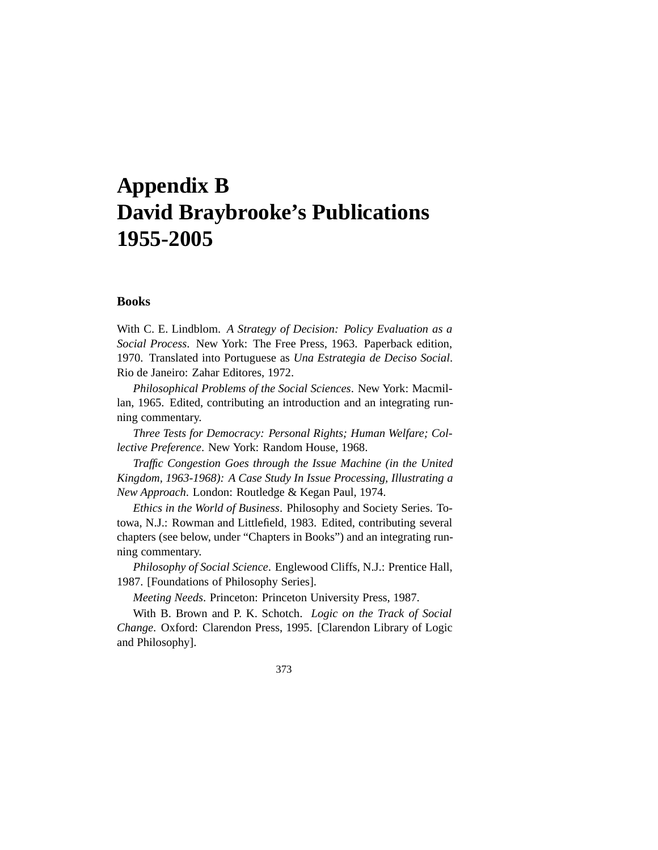# **Appendix B David Braybrooke's Publications 1955-2005**

## **Books**

With C. E. Lindblom. *A Strategy of Decision: Policy Evaluation as a Social Process*. New York: The Free Press, 1963. Paperback edition, 1970. Translated into Portuguese as *Una Estrategia de Deciso Social*. Rio de Janeiro: Zahar Editores, 1972.

*Philosophical Problems of the Social Sciences*. New York: Macmillan, 1965. Edited, contributing an introduction and an integrating running commentary.

*Three Tests for Democracy: Personal Rights; Human Welfare; Collective Preference*. New York: Random House, 1968.

*Traffic Congestion Goes through the Issue Machine (in the United Kingdom, 1963-1968): A Case Study In Issue Processing, Illustrating a New Approach*. London: Routledge & Kegan Paul, 1974.

*Ethics in the World of Business*. Philosophy and Society Series. Totowa, N.J.: Rowman and Littlefield, 1983. Edited, contributing several chapters (see below, under "Chapters in Books") and an integrating running commentary.

*Philosophy of Social Science*. Englewood Cliffs, N.J.: Prentice Hall, 1987. [Foundations of Philosophy Series].

*Meeting Needs*. Princeton: Princeton University Press, 1987.

With B. Brown and P. K. Schotch. *Logic on the Track of Social Change*. Oxford: Clarendon Press, 1995. [Clarendon Library of Logic and Philosophy].

373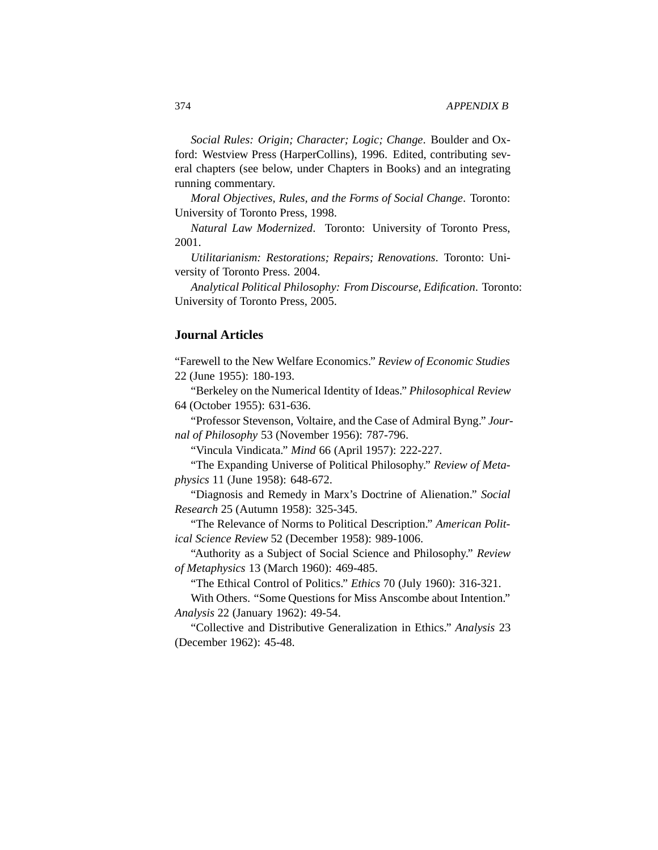*Social Rules: Origin; Character; Logic; Change*. Boulder and Oxford: Westview Press (HarperCollins), 1996. Edited, contributing several chapters (see below, under Chapters in Books) and an integrating running commentary.

*Moral Objectives, Rules, and the Forms of Social Change*. Toronto: University of Toronto Press, 1998.

*Natural Law Modernized*. Toronto: University of Toronto Press, 2001.

*Utilitarianism: Restorations; Repairs; Renovations*. Toronto: University of Toronto Press. 2004.

*Analytical Political Philosophy: From Discourse, Edification*. Toronto: University of Toronto Press, 2005.

## **Journal Articles**

"Farewell to the New Welfare Economics." *Review of Economic Studies* 22 (June 1955): 180-193.

"Berkeley on the Numerical Identity of Ideas." *Philosophical Review* 64 (October 1955): 631-636.

"Professor Stevenson, Voltaire, and the Case of Admiral Byng." *Journal of Philosophy* 53 (November 1956): 787-796.

"Vincula Vindicata." *Mind* 66 (April 1957): 222-227.

"The Expanding Universe of Political Philosophy." *Review of Metaphysics* 11 (June 1958): 648-672.

"Diagnosis and Remedy in Marx's Doctrine of Alienation." *Social Research* 25 (Autumn 1958): 325-345.

"The Relevance of Norms to Political Description." *American Political Science Review* 52 (December 1958): 989-1006.

"Authority as a Subject of Social Science and Philosophy." *Review of Metaphysics* 13 (March 1960): 469-485.

"The Ethical Control of Politics." *Ethics* 70 (July 1960): 316-321.

With Others. "Some Questions for Miss Anscombe about Intention." *Analysis* 22 (January 1962): 49-54.

"Collective and Distributive Generalization in Ethics." *Analysis* 23 (December 1962): 45-48.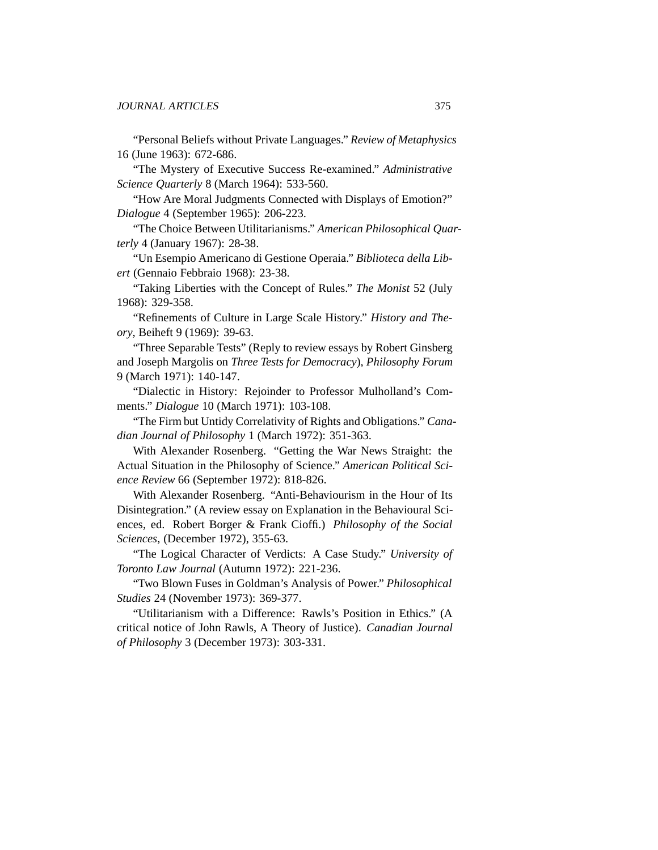"Personal Beliefs without Private Languages." *Review of Metaphysics* 16 (June 1963): 672-686.

"The Mystery of Executive Success Re-examined." *Administrative Science Quarterly* 8 (March 1964): 533-560.

"How Are Moral Judgments Connected with Displays of Emotion?" *Dialogue* 4 (September 1965): 206-223.

"The Choice Between Utilitarianisms." *American Philosophical Quarterly* 4 (January 1967): 28-38.

"Un Esempio Americano di Gestione Operaia." *Biblioteca della Libert* (Gennaio Febbraio 1968): 23-38.

"Taking Liberties with the Concept of Rules." *The Monist* 52 (July 1968): 329-358.

"Refinements of Culture in Large Scale History." *History and Theory*, Beiheft 9 (1969): 39-63.

"Three Separable Tests" (Reply to review essays by Robert Ginsberg and Joseph Margolis on *Three Tests for Democracy*), *Philosophy Forum* 9 (March 1971): 140-147.

"Dialectic in History: Rejoinder to Professor Mulholland's Comments." *Dialogue* 10 (March 1971): 103-108.

"The Firm but Untidy Correlativity of Rights and Obligations." *Canadian Journal of Philosophy* 1 (March 1972): 351-363.

With Alexander Rosenberg. "Getting the War News Straight: the Actual Situation in the Philosophy of Science." *American Political Science Review* 66 (September 1972): 818-826.

With Alexander Rosenberg. "Anti-Behaviourism in the Hour of Its Disintegration." (A review essay on Explanation in the Behavioural Sciences, ed. Robert Borger & Frank Cioffi.) *Philosophy of the Social Sciences*, (December 1972), 355-63.

"The Logical Character of Verdicts: A Case Study." *University of Toronto Law Journal* (Autumn 1972): 221-236.

"Two Blown Fuses in Goldman's Analysis of Power." *Philosophical Studies* 24 (November 1973): 369-377.

"Utilitarianism with a Difference: Rawls's Position in Ethics." (A critical notice of John Rawls, A Theory of Justice). *Canadian Journal of Philosophy* 3 (December 1973): 303-331.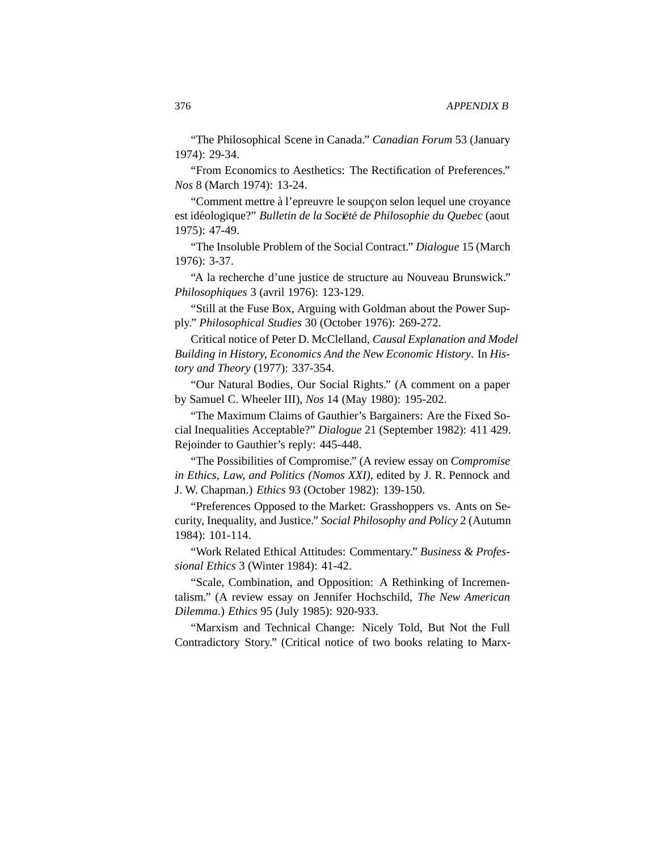"The Philosophical Scene in Canada." *Canadian Forum* 53 (January 1974): 29-34.

"From Economics to Aesthetics: The Rectification of Preferences." *Nos* 8 (March 1974): 13-24.

"Comment mettre à l'epreuvre le soupçon selon lequel une croyance" est idéologique?" *Bulletin de la Société de Philosophie du Quebec* (aout 1975): 47-49.

"The Insoluble Problem of the Social Contract." *Dialogue* 15 (March 1976): 3-37.

"A la recherche d'une justice de structure au Nouveau Brunswick." *Philosophiques* 3 (avril 1976): 123-129.

"Still at the Fuse Box, Arguing with Goldman about the Power Supply." *Philosophical Studies* 30 (October 1976): 269-272.

Critical notice of Peter D. McClelland, *Causal Explanation and Model Building in History, Economics And the New Economic History*. In *History and Theory* (1977): 337-354.

"Our Natural Bodies, Our Social Rights." (A comment on a paper by Samuel C. Wheeler III), *Nos* 14 (May 1980): 195-202.

"The Maximum Claims of Gauthier's Bargainers: Are the Fixed Social Inequalities Acceptable?" *Dialogue* 21 (September 1982): 411 429. Rejoinder to Gauthier's reply: 445-448.

"The Possibilities of Compromise." (A review essay on *Compromise in Ethics, Law, and Politics (Nomos XXI)*, edited by J. R. Pennock and J. W. Chapman.) *Ethics* 93 (October 1982): 139-150.

"Preferences Opposed to the Market: Grasshoppers vs. Ants on Security, Inequality, and Justice." *Social Philosophy and Policy* 2 (Autumn 1984): 101-114.

"Work Related Ethical Attitudes: Commentary." *Business & Professional Ethics* 3 (Winter 1984): 41-42.

"Scale, Combination, and Opposition: A Rethinking of Incrementalism." (A review essay on Jennifer Hochschild, *The New American Dilemma*.) *Ethics* 95 (July 1985): 920-933.

"Marxism and Technical Change: Nicely Told, But Not the Full Contradictory Story." (Critical notice of two books relating to Marx-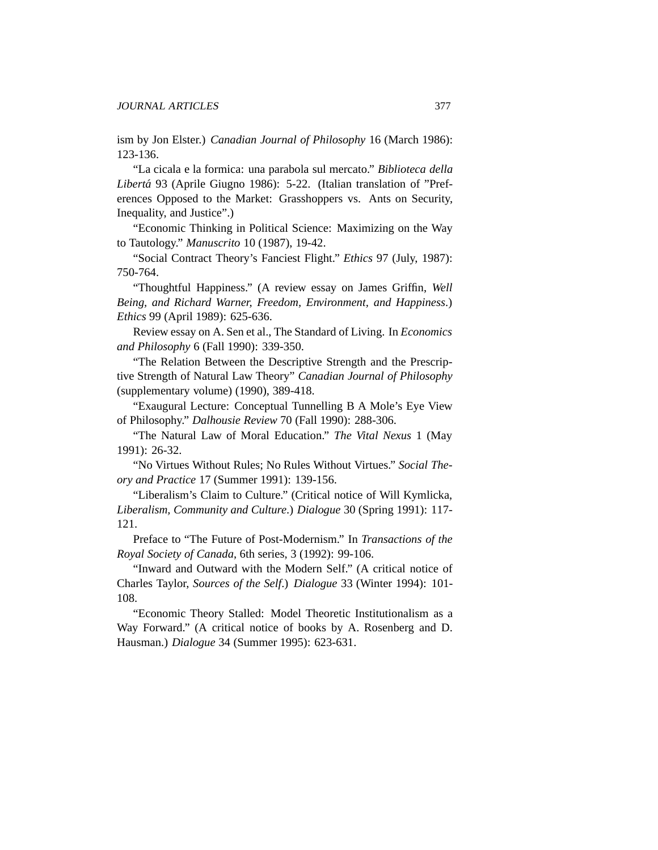ism by Jon Elster.) *Canadian Journal of Philosophy* 16 (March 1986): 123-136.

"La cicala e la formica: una parabola sul mercato." *Biblioteca della Liberta´* 93 (Aprile Giugno 1986): 5-22. (Italian translation of "Preferences Opposed to the Market: Grasshoppers vs. Ants on Security, Inequality, and Justice".)

"Economic Thinking in Political Science: Maximizing on the Way to Tautology." *Manuscrito* 10 (1987), 19-42.

"Social Contract Theory's Fanciest Flight." *Ethics* 97 (July, 1987): 750-764.

"Thoughtful Happiness." (A review essay on James Griffin, *Well Being, and Richard Warner, Freedom, Environment, and Happiness*.) *Ethics* 99 (April 1989): 625-636.

Review essay on A. Sen et al., The Standard of Living. In *Economics and Philosophy* 6 (Fall 1990): 339-350.

"The Relation Between the Descriptive Strength and the Prescriptive Strength of Natural Law Theory" *Canadian Journal of Philosophy* (supplementary volume) (1990), 389-418.

"Exaugural Lecture: Conceptual Tunnelling B A Mole's Eye View of Philosophy." *Dalhousie Review* 70 (Fall 1990): 288-306.

"The Natural Law of Moral Education." *The Vital Nexus* 1 (May 1991): 26-32.

"No Virtues Without Rules; No Rules Without Virtues." *Social Theory and Practice* 17 (Summer 1991): 139-156.

"Liberalism's Claim to Culture." (Critical notice of Will Kymlicka, *Liberalism, Community and Culture*.) *Dialogue* 30 (Spring 1991): 117- 121.

Preface to "The Future of Post-Modernism." In *Transactions of the Royal Society of Canada*, 6th series, 3 (1992): 99-106.

"Inward and Outward with the Modern Self." (A critical notice of Charles Taylor, *Sources of the Self*.) *Dialogue* 33 (Winter 1994): 101- 108.

"Economic Theory Stalled: Model Theoretic Institutionalism as a Way Forward." (A critical notice of books by A. Rosenberg and D. Hausman.) *Dialogue* 34 (Summer 1995): 623-631.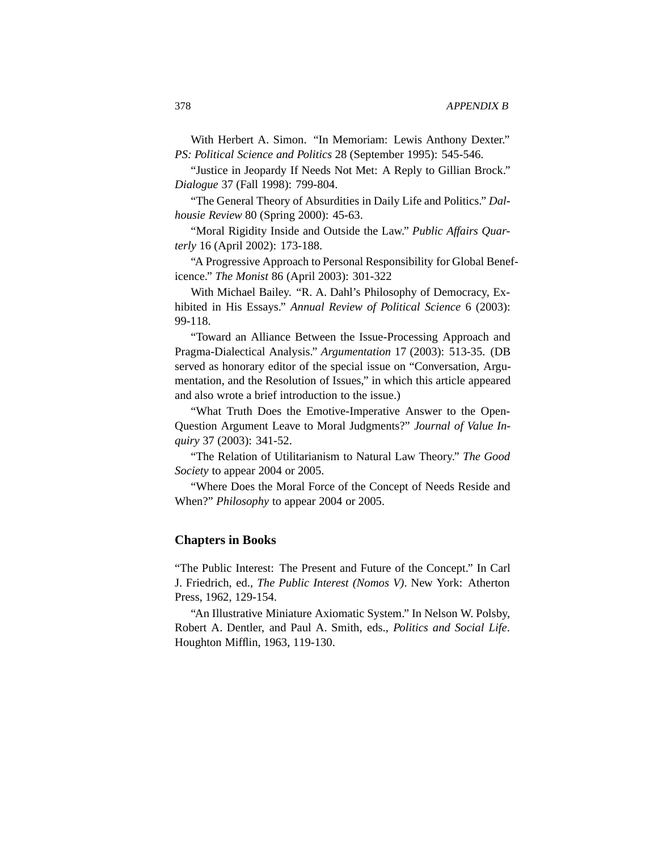With Herbert A. Simon. "In Memoriam: Lewis Anthony Dexter." *PS: Political Science and Politics* 28 (September 1995): 545-546.

"Justice in Jeopardy If Needs Not Met: A Reply to Gillian Brock." *Dialogue* 37 (Fall 1998): 799-804.

"The General Theory of Absurdities in Daily Life and Politics." *Dalhousie Review* 80 (Spring 2000): 45-63.

"Moral Rigidity Inside and Outside the Law." *Public Affairs Quarterly* 16 (April 2002): 173-188.

"A Progressive Approach to Personal Responsibility for Global Beneficence." *The Monist* 86 (April 2003): 301-322

With Michael Bailey. "R. A. Dahl's Philosophy of Democracy, Exhibited in His Essays." *Annual Review of Political Science* 6 (2003): 99-118.

"Toward an Alliance Between the Issue-Processing Approach and Pragma-Dialectical Analysis." *Argumentation* 17 (2003): 513-35. (DB served as honorary editor of the special issue on "Conversation, Argumentation, and the Resolution of Issues," in which this article appeared and also wrote a brief introduction to the issue.)

"What Truth Does the Emotive-Imperative Answer to the Open-Question Argument Leave to Moral Judgments?" *Journal of Value Inquiry* 37 (2003): 341-52.

"The Relation of Utilitarianism to Natural Law Theory." *The Good Society* to appear 2004 or 2005.

"Where Does the Moral Force of the Concept of Needs Reside and When?" *Philosophy* to appear 2004 or 2005.

#### **Chapters in Books**

"The Public Interest: The Present and Future of the Concept." In Carl J. Friedrich, ed., *The Public Interest (Nomos V)*. New York: Atherton Press, 1962, 129-154.

"An Illustrative Miniature Axiomatic System." In Nelson W. Polsby, Robert A. Dentler, and Paul A. Smith, eds., *Politics and Social Life*. Houghton Mifflin, 1963, 119-130.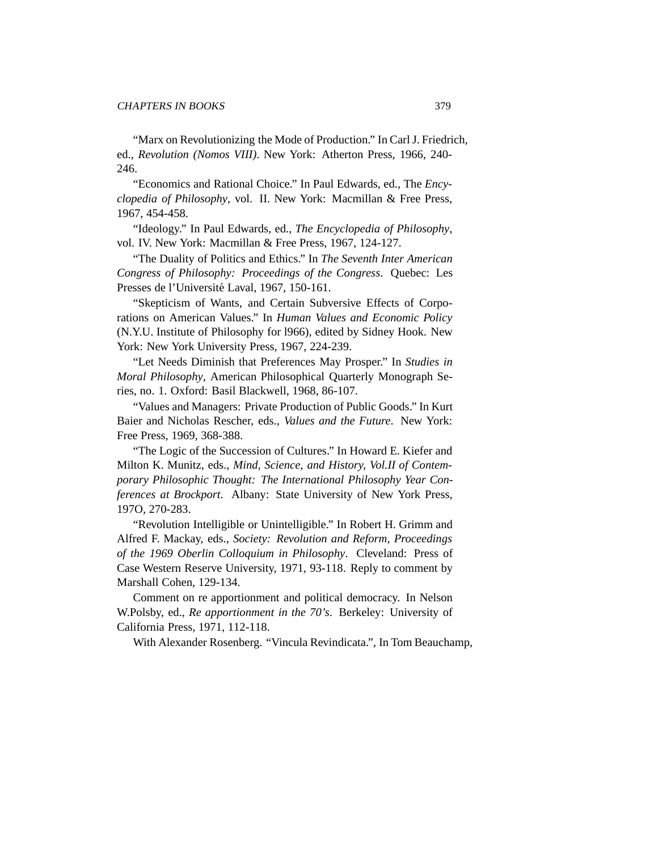"Marx on Revolutionizing the Mode of Production." In Carl J. Friedrich, ed., *Revolution (Nomos VIII)*. New York: Atherton Press, 1966, 240- 246.

"Economics and Rational Choice." In Paul Edwards, ed., The *Encyclopedia of Philosophy*, vol. II. New York: Macmillan & Free Press, 1967, 454-458.

"Ideology." In Paul Edwards, ed., *The Encyclopedia of Philosophy*, vol. IV. New York: Macmillan & Free Press, 1967, 124-127.

"The Duality of Politics and Ethics." In *The Seventh Inter American Congress of Philosophy: Proceedings of the Congress*. Quebec: Les Presses de l'Université Laval, 1967, 150-161.

"Skepticism of Wants, and Certain Subversive Effects of Corporations on American Values." In *Human Values and Economic Policy* (N.Y.U. Institute of Philosophy for l966), edited by Sidney Hook. New York: New York University Press, 1967, 224-239.

"Let Needs Diminish that Preferences May Prosper." In *Studies in Moral Philosophy*, American Philosophical Quarterly Monograph Series, no. 1. Oxford: Basil Blackwell, 1968, 86-107.

"Values and Managers: Private Production of Public Goods." In Kurt Baier and Nicholas Rescher, eds., *Values and the Future*. New York: Free Press, 1969, 368-388.

"The Logic of the Succession of Cultures." In Howard E. Kiefer and Milton K. Munitz, eds., *Mind, Science, and History, Vol.II of Contemporary Philosophic Thought: The International Philosophy Year Conferences at Brockport*. Albany: State University of New York Press, 197O, 270-283.

"Revolution Intelligible or Unintelligible." In Robert H. Grimm and Alfred F. Mackay, eds., *Society: Revolution and Reform, Proceedings of the 1969 Oberlin Colloquium in Philosophy*. Cleveland: Press of Case Western Reserve University, 1971, 93-118. Reply to comment by Marshall Cohen, 129-134.

Comment on re apportionment and political democracy. In Nelson W.Polsby, ed., *Re apportionment in the 70's*. Berkeley: University of California Press, 1971, 112-118.

With Alexander Rosenberg. "Vincula Revindicata.", In Tom Beauchamp,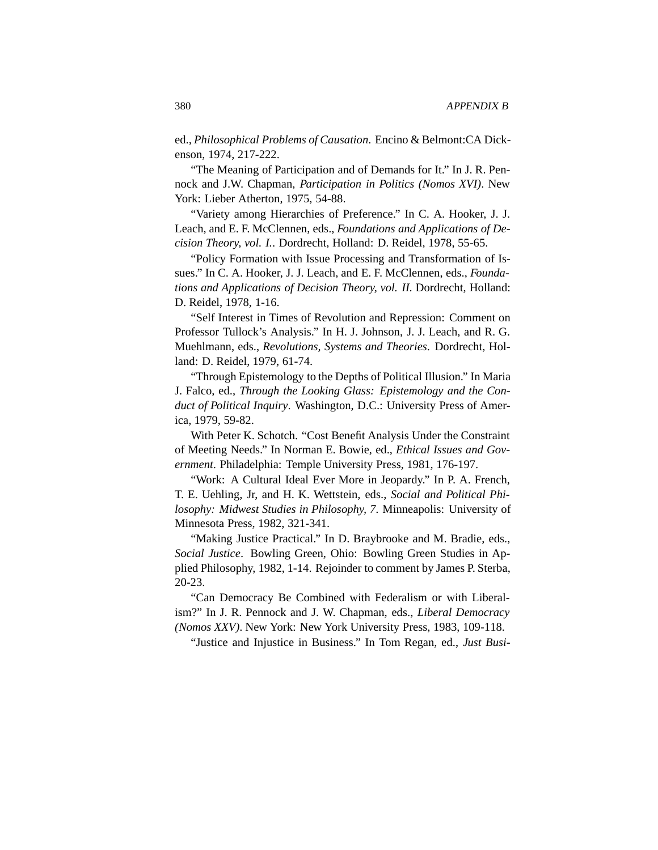ed., *Philosophical Problems of Causation*. Encino & Belmont:CA Dickenson, 1974, 217-222.

"The Meaning of Participation and of Demands for It." In J. R. Pennock and J.W. Chapman, *Participation in Politics (Nomos XVI)*. New York: Lieber Atherton, 1975, 54-88.

"Variety among Hierarchies of Preference." In C. A. Hooker, J. J. Leach, and E. F. McClennen, eds., *Foundations and Applications of Decision Theory, vol. I.*. Dordrecht, Holland: D. Reidel, 1978, 55-65.

"Policy Formation with Issue Processing and Transformation of Issues." In C. A. Hooker, J. J. Leach, and E. F. McClennen, eds., *Foundations and Applications of Decision Theory, vol. II.* Dordrecht, Holland: D. Reidel, 1978, 1-16.

"Self Interest in Times of Revolution and Repression: Comment on Professor Tullock's Analysis." In H. J. Johnson, J. J. Leach, and R. G. Muehlmann, eds., *Revolutions, Systems and Theories*. Dordrecht, Holland: D. Reidel, 1979, 61-74.

"Through Epistemology to the Depths of Political Illusion." In Maria J. Falco, ed., *Through the Looking Glass: Epistemology and the Conduct of Political Inquiry*. Washington, D.C.: University Press of America, 1979, 59-82.

With Peter K. Schotch. "Cost Benefit Analysis Under the Constraint of Meeting Needs." In Norman E. Bowie, ed., *Ethical Issues and Government*. Philadelphia: Temple University Press, 1981, 176-197.

"Work: A Cultural Ideal Ever More in Jeopardy." In P. A. French, T. E. Uehling, Jr, and H. K. Wettstein, eds., *Social and Political Philosophy: Midwest Studies in Philosophy, 7*. Minneapolis: University of Minnesota Press, 1982, 321-341.

"Making Justice Practical." In D. Braybrooke and M. Bradie, eds., *Social Justice*. Bowling Green, Ohio: Bowling Green Studies in Applied Philosophy, 1982, 1-14. Rejoinder to comment by James P. Sterba, 20-23.

"Can Democracy Be Combined with Federalism or with Liberalism?" In J. R. Pennock and J. W. Chapman, eds., *Liberal Democracy (Nomos XXV)*. New York: New York University Press, 1983, 109-118.

"Justice and Injustice in Business." In Tom Regan, ed., *Just Busi-*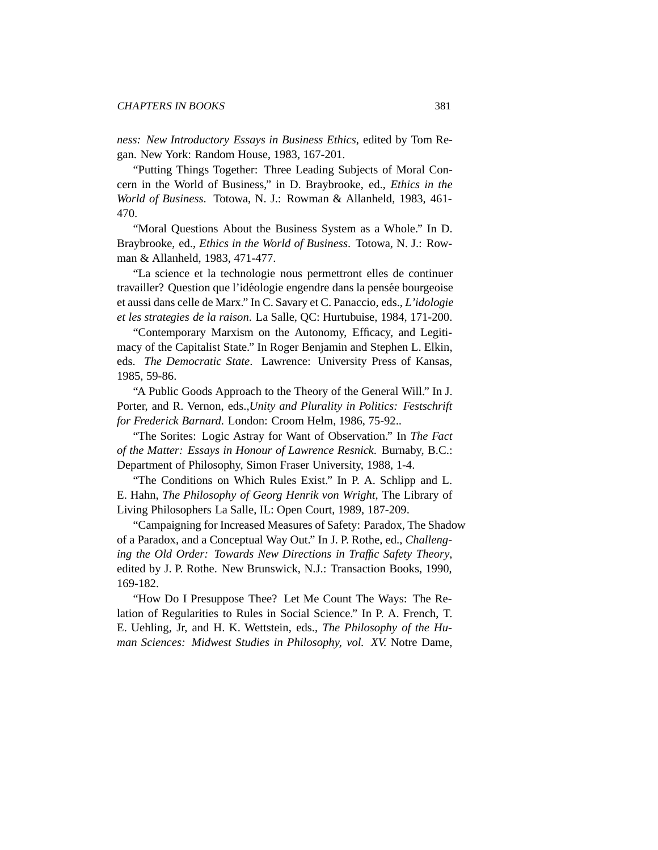*ness: New Introductory Essays in Business Ethics*, edited by Tom Regan. New York: Random House, 1983, 167-201.

"Putting Things Together: Three Leading Subjects of Moral Concern in the World of Business," in D. Braybrooke, ed., *Ethics in the World of Business*. Totowa, N. J.: Rowman & Allanheld, 1983, 461- 470.

"Moral Questions About the Business System as a Whole." In D. Braybrooke, ed., *Ethics in the World of Business*. Totowa, N. J.: Rowman & Allanheld, 1983, 471-477.

"La science et la technologie nous permettront elles de continuer travailler? Question que l'idéologie engendre dans la pensée bourgeoise et aussi dans celle de Marx." In C. Savary et C. Panaccio, eds., *L'idologie et les strategies de la raison*. La Salle, QC: Hurtubuise, 1984, 171-200.

"Contemporary Marxism on the Autonomy, Efficacy, and Legitimacy of the Capitalist State." In Roger Benjamin and Stephen L. Elkin, eds. *The Democratic State*. Lawrence: University Press of Kansas, 1985, 59-86.

"A Public Goods Approach to the Theory of the General Will." In J. Porter, and R. Vernon, eds.,*Unity and Plurality in Politics: Festschrift for Frederick Barnard*. London: Croom Helm, 1986, 75-92..

"The Sorites: Logic Astray for Want of Observation." In *The Fact of the Matter: Essays in Honour of Lawrence Resnick*. Burnaby, B.C.: Department of Philosophy, Simon Fraser University, 1988, 1-4.

"The Conditions on Which Rules Exist." In P. A. Schlipp and L. E. Hahn, *The Philosophy of Georg Henrik von Wright*, The Library of Living Philosophers La Salle, IL: Open Court, 1989, 187-209.

"Campaigning for Increased Measures of Safety: Paradox, The Shadow of a Paradox, and a Conceptual Way Out." In J. P. Rothe, ed., *Challenging the Old Order: Towards New Directions in Traffic Safety Theory*, edited by J. P. Rothe. New Brunswick, N.J.: Transaction Books, 1990, 169-182.

"How Do I Presuppose Thee? Let Me Count The Ways: The Relation of Regularities to Rules in Social Science." In P. A. French, T. E. Uehling, Jr, and H. K. Wettstein, eds., *The Philosophy of the Human Sciences: Midwest Studies in Philosophy, vol. XV.* Notre Dame,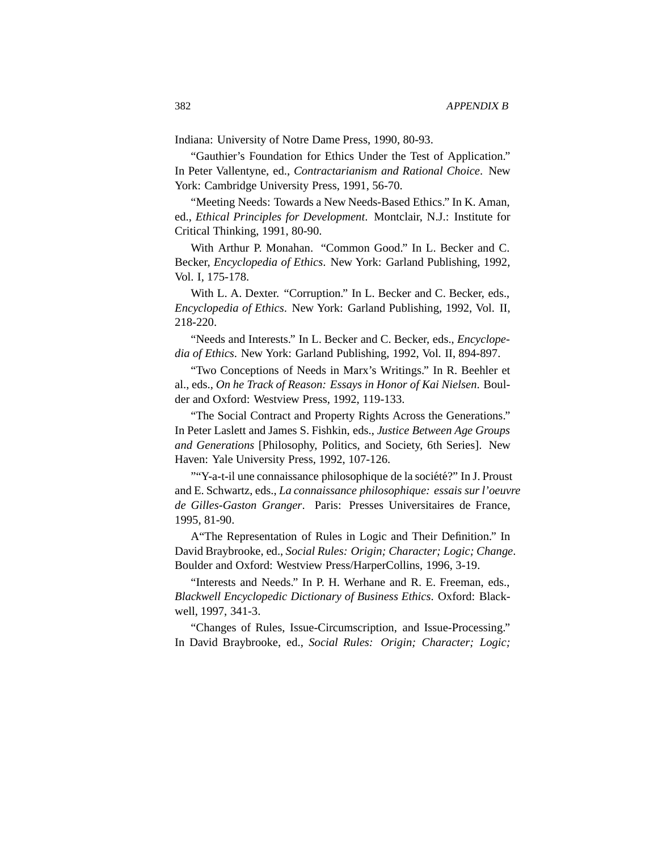Indiana: University of Notre Dame Press, 1990, 80-93.

"Gauthier's Foundation for Ethics Under the Test of Application." In Peter Vallentyne, ed., *Contractarianism and Rational Choice*. New York: Cambridge University Press, 1991, 56-70.

"Meeting Needs: Towards a New Needs-Based Ethics." In K. Aman, ed., *Ethical Principles for Development*. Montclair, N.J.: Institute for Critical Thinking, 1991, 80-90.

With Arthur P. Monahan. "Common Good." In L. Becker and C. Becker, *Encyclopedia of Ethics*. New York: Garland Publishing, 1992, Vol. I, 175-178.

With L. A. Dexter. "Corruption." In L. Becker and C. Becker, eds., *Encyclopedia of Ethics*. New York: Garland Publishing, 1992, Vol. II, 218-220.

"Needs and Interests." In L. Becker and C. Becker, eds., *Encyclopedia of Ethics*. New York: Garland Publishing, 1992, Vol. II, 894-897.

"Two Conceptions of Needs in Marx's Writings." In R. Beehler et al., eds., *On he Track of Reason: Essays in Honor of Kai Nielsen*. Boulder and Oxford: Westview Press, 1992, 119-133.

"The Social Contract and Property Rights Across the Generations." In Peter Laslett and James S. Fishkin, eds., *Justice Between Age Groups and Generations* [Philosophy, Politics, and Society, 6th Series]. New Haven: Yale University Press, 1992, 107-126.

""Y-a-t-il une connaissance philosophique de la société?" In J. Proust and E. Schwartz, eds., *La connaissance philosophique: essais sur l'oeuvre de Gilles-Gaston Granger*. Paris: Presses Universitaires de France, 1995, 81-90.

A"The Representation of Rules in Logic and Their Definition." In David Braybrooke, ed., *Social Rules: Origin; Character; Logic; Change*. Boulder and Oxford: Westview Press/HarperCollins, 1996, 3-19.

"Interests and Needs." In P. H. Werhane and R. E. Freeman, eds., *Blackwell Encyclopedic Dictionary of Business Ethics*. Oxford: Blackwell, 1997, 341-3.

"Changes of Rules, Issue-Circumscription, and Issue-Processing." In David Braybrooke, ed., *Social Rules: Origin; Character; Logic;*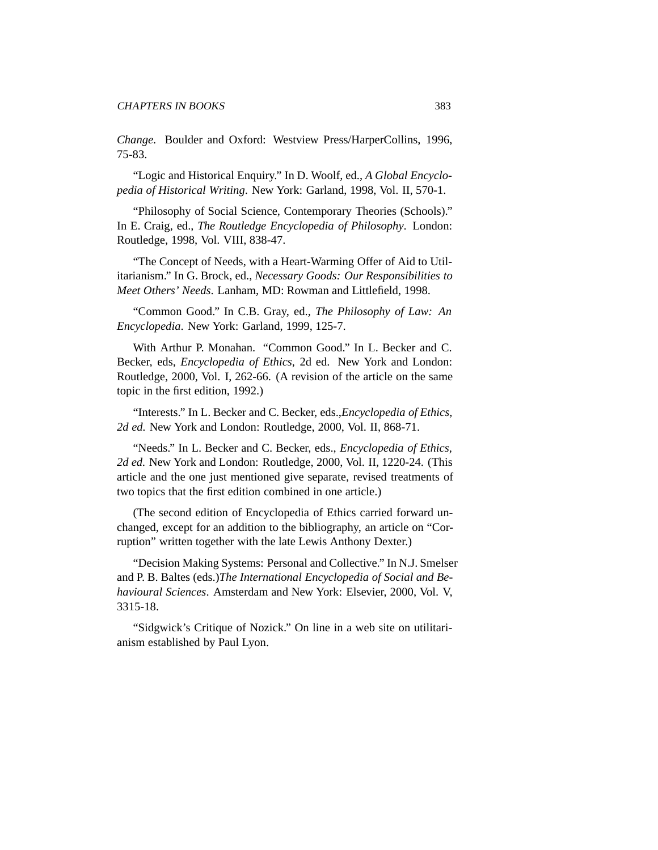*Change*. Boulder and Oxford: Westview Press/HarperCollins, 1996, 75-83.

"Logic and Historical Enquiry." In D. Woolf, ed., *A Global Encyclopedia of Historical Writing*. New York: Garland, 1998, Vol. II, 570-1.

"Philosophy of Social Science, Contemporary Theories (Schools)." In E. Craig, ed., *The Routledge Encyclopedia of Philosophy*. London: Routledge, 1998, Vol. VIII, 838-47.

"The Concept of Needs, with a Heart-Warming Offer of Aid to Utilitarianism." In G. Brock, ed., *Necessary Goods: Our Responsibilities to Meet Others' Needs*. Lanham, MD: Rowman and Littlefield, 1998.

"Common Good." In C.B. Gray, ed., *The Philosophy of Law: An Encyclopedia*. New York: Garland, 1999, 125-7.

With Arthur P. Monahan. "Common Good." In L. Becker and C. Becker, eds, *Encyclopedia of Ethics*, 2d ed. New York and London: Routledge, 2000, Vol. I, 262-66. (A revision of the article on the same topic in the first edition, 1992.)

"Interests." In L. Becker and C. Becker, eds.,*Encyclopedia of Ethics, 2d ed.* New York and London: Routledge, 2000, Vol. II, 868-71.

"Needs." In L. Becker and C. Becker, eds., *Encyclopedia of Ethics, 2d ed.* New York and London: Routledge, 2000, Vol. II, 1220-24. (This article and the one just mentioned give separate, revised treatments of two topics that the first edition combined in one article.)

(The second edition of Encyclopedia of Ethics carried forward unchanged, except for an addition to the bibliography, an article on "Corruption" written together with the late Lewis Anthony Dexter.)

"Decision Making Systems: Personal and Collective." In N.J. Smelser and P. B. Baltes (eds.)*The International Encyclopedia of Social and Behavioural Sciences*. Amsterdam and New York: Elsevier, 2000, Vol. V, 3315-18.

"Sidgwick's Critique of Nozick." On line in a web site on utilitarianism established by Paul Lyon.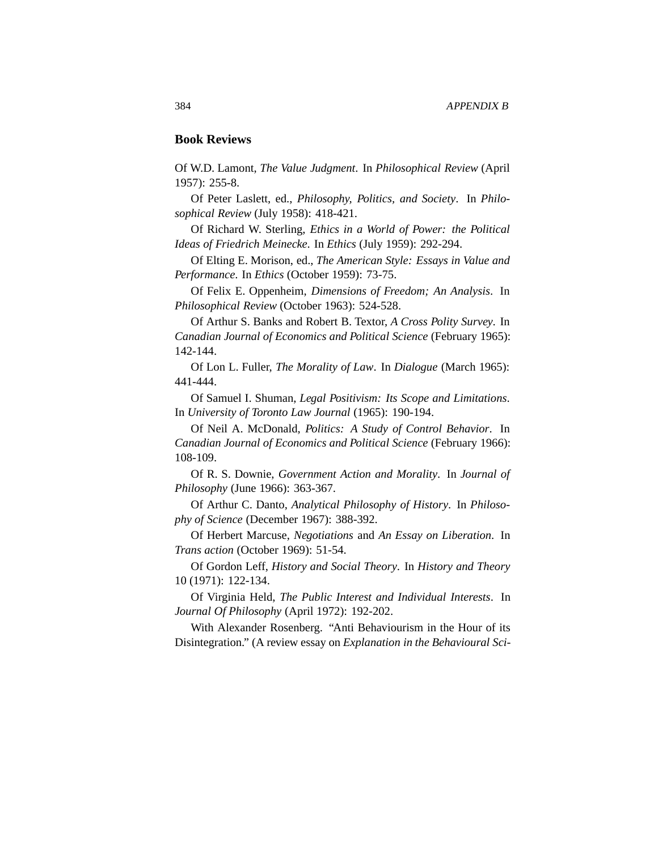### **Book Reviews**

Of W.D. Lamont, *The Value Judgment*. In *Philosophical Review* (April 1957): 255-8.

Of Peter Laslett, ed., *Philosophy, Politics, and Society*. In *Philosophical Review* (July 1958): 418-421.

Of Richard W. Sterling, *Ethics in a World of Power: the Political Ideas of Friedrich Meinecke*. In *Ethics* (July 1959): 292-294.

Of Elting E. Morison, ed., *The American Style: Essays in Value and Performance*. In *Ethics* (October 1959): 73-75.

Of Felix E. Oppenheim, *Dimensions of Freedom; An Analysis*. In *Philosophical Review* (October 1963): 524-528.

Of Arthur S. Banks and Robert B. Textor, *A Cross Polity Survey*. In *Canadian Journal of Economics and Political Science* (February 1965): 142-144.

Of Lon L. Fuller, *The Morality of Law*. In *Dialogue* (March 1965): 441-444.

Of Samuel I. Shuman, *Legal Positivism: Its Scope and Limitations*. In *University of Toronto Law Journal* (1965): 190-194.

Of Neil A. McDonald, *Politics: A Study of Control Behavior*. In *Canadian Journal of Economics and Political Science* (February 1966): 108-109.

Of R. S. Downie, *Government Action and Morality*. In *Journal of Philosophy* (June 1966): 363-367.

Of Arthur C. Danto, *Analytical Philosophy of History*. In *Philosophy of Science* (December 1967): 388-392.

Of Herbert Marcuse, *Negotiations* and *An Essay on Liberation*. In *Trans action* (October 1969): 51-54.

Of Gordon Leff, *History and Social Theory*. In *History and Theory* 10 (1971): 122-134.

Of Virginia Held, *The Public Interest and Individual Interests*. In *Journal Of Philosophy* (April 1972): 192-202.

With Alexander Rosenberg. "Anti Behaviourism in the Hour of its Disintegration." (A review essay on *Explanation in the Behavioural Sci-*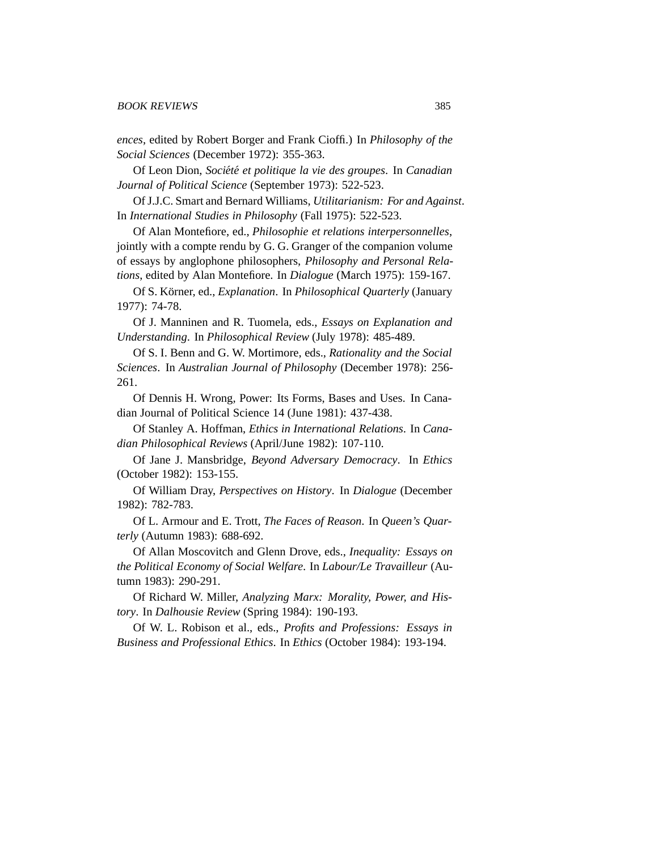*ences*, edited by Robert Borger and Frank Cioffi.) In *Philosophy of the Social Sciences* (December 1972): 355-363.

Of Leon Dion, *Societ´ e et politique la vie des groupes ´* . In *Canadian Journal of Political Science* (September 1973): 522-523.

Of J.J.C. Smart and Bernard Williams, *Utilitarianism: For and Against*. In *International Studies in Philosophy* (Fall 1975): 522-523.

Of Alan Montefiore, ed., *Philosophie et relations interpersonnelles*, jointly with a compte rendu by G. G. Granger of the companion volume of essays by anglophone philosophers, *Philosophy and Personal Relations*, edited by Alan Montefiore. In *Dialogue* (March 1975): 159-167.

Of S. K¨orner, ed., *Explanation*. In *Philosophical Quarterly* (January 1977): 74-78.

Of J. Manninen and R. Tuomela, eds., *Essays on Explanation and Understanding*. In *Philosophical Review* (July 1978): 485-489.

Of S. I. Benn and G. W. Mortimore, eds., *Rationality and the Social Sciences*. In *Australian Journal of Philosophy* (December 1978): 256- 261.

Of Dennis H. Wrong, Power: Its Forms, Bases and Uses. In Canadian Journal of Political Science 14 (June 1981): 437-438.

Of Stanley A. Hoffman, *Ethics in International Relations*. In *Canadian Philosophical Reviews* (April/June 1982): 107-110.

Of Jane J. Mansbridge, *Beyond Adversary Democracy*. In *Ethics* (October 1982): 153-155.

Of William Dray, *Perspectives on History*. In *Dialogue* (December 1982): 782-783.

Of L. Armour and E. Trott, *The Faces of Reason*. In *Queen's Quarterly* (Autumn 1983): 688-692.

Of Allan Moscovitch and Glenn Drove, eds., *Inequality: Essays on the Political Economy of Social Welfare*. In *Labour/Le Travailleur* (Autumn 1983): 290-291.

Of Richard W. Miller, *Analyzing Marx: Morality, Power, and History*. In *Dalhousie Review* (Spring 1984): 190-193.

Of W. L. Robison et al., eds., *Profits and Professions: Essays in Business and Professional Ethics*. In *Ethics* (October 1984): 193-194.